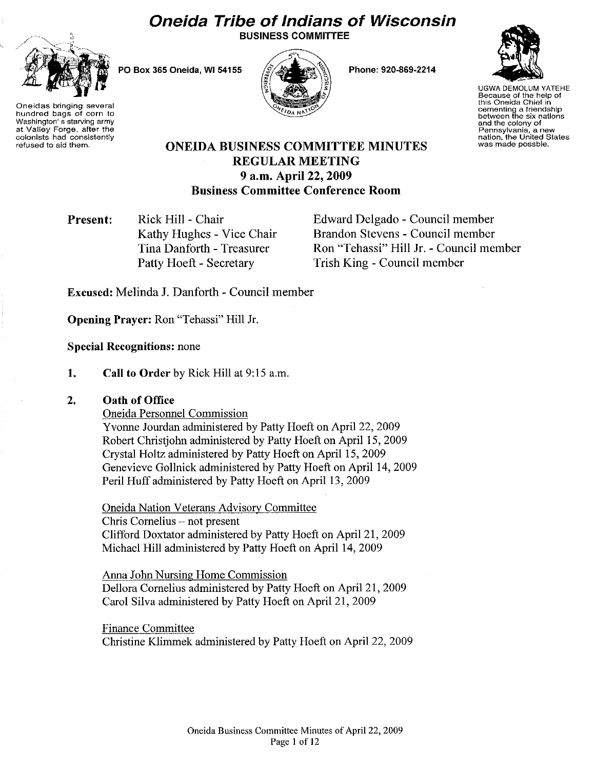# **Oneida Tribe of Indians of Wisconsin**





PO Box 365 Oneida, WI 54155



Phone: 920·869·2214



UGWA DEMOLUM YATEHE Because of the help of this Oneida Chief in cementing a friendship between the six nations and the colony of Pennsylvania, a new nation, the United States was made possble.

hundred bags of corn to Washington's starving army at Valley Forge, after the colonists had consistently refused to aid them.

# ONEIDA BUSINESS COMMITTEE MINUTES REGULAR MEETING 9 a.m. April 22, 2009 Business Committee Conference Room

Present: Rick Hill - Chair Kathy Hughes - Vice Chair Tina Danforth - Treasurer Patty Hoeft - Secretary

Edward Delgado - Council member Brandon Stevens - Council member Ron "Tehassi" Hill Jr. - Council member Trish King - Council member

Excused: Melinda J. Danforth - Council member

Opening Prayer: Ron "Tehassi" Hill Jr.

Special Recognitions: none

1. Call to Order by Rick Hill at 9:15 a.m.

#### 2. Oath of Office

Oneida Personnel Commission

Yvonne Jourdan administered by Patty Hoeft on April 22, 2009 Robert Christjohn administered by Patty Hoeft on April 15, 2009 Crystal Holtz administered by Patty Hoeft on April 15, 2009 Genevieve Gollnick administered by Patty Hoeft on April 14, 2009 Peril Huff administered by Patty Hoeft on April 13,2009

Oneida Nation Veterans Advisory Committee Chris Cornelius - not present Clifford Doxtator administered by Patty Hoeft on April 21, 2009 Michael Hill administered by Patty Hoeft on April 14, 2009

Anna John Nursing Home Commission Dellora Cornelius administered by Patty Hoeft on April 21, 2009 Carol Silva administered by Patty Hoeft on April 21, 2009

Finance Committee Christine Klimmek administered by Patty Hoeft on April 22, 2009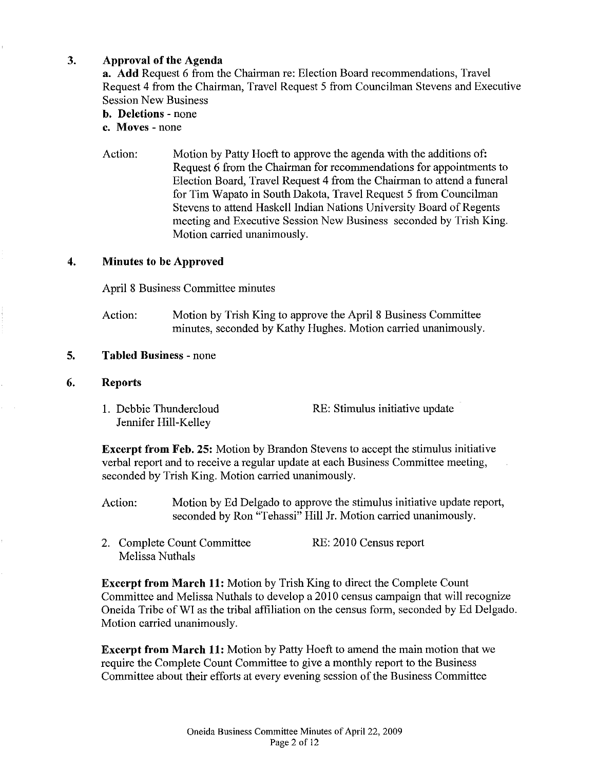# 3. Approval of the Agenda

a. Add Request 6 from the Chairman re: Election Board recommendations, Travel Request 4 from the Chairman, Travel Request 5 from Councilman Stevens and Executive Session New Business

b. Deletions - none

c. Moves - none

Action: Motion by Patty Hoeft to approve the agenda with the additions of: Request 6 from the Chairman for recommendations for appointments to Election Board, Travel Request 4 from the Chairman to attend a funeral for Tim Wapato in South Dakota, Travel Request 5 from Councilman Stevens to attend Haskell Indian Nations University Board of Regents meeting and Executive Session New Business seconded by Trish King. Motion carried unanimously.

## 4. Minutes to be Approved

April 8 Business Committee minutes

Action: Motion by Trish King to approve the April 8 Business Committee minutes, seconded by Kathy Hughes. Motion carried unanimously.

#### 5. Tabled Business - none

#### 6. Reports

l. Debbie Thundercloud Jennifer Hill-Kelley RE: Stimulus initiative update

Excerpt from Feb. 25: Motion by Brandon Stevens to accept the stimulus initiative verbal report and to receive a regular update at each Business Committee meeting, seconded by Trish King. Motion carried unanimously.

- Action: Motion by Ed Delgado to approve the stimulus initiative update report, seconded by Ron "Tehassi" Hill Jr. Motion carried unanimously.
- 2. Complete Count Committee Melissa Nuthals RE: 2010 Census report

Excerpt from March 11: Motion by Trish King to direct the Complete Count Committee and Melissa Nuthals to develop a 2010 census campaign that will recognize Oneida Tribe of WI as the tribal affiliation on the census form, seconded by Ed Delgado. Motion carried unanimously.

Excerpt from March 11: Motion by Patty Hoeft to amend the main motion that we require the Complete Count Committee to give a monthly report to the Business Committee about their efforts at every evening session of the Business Committee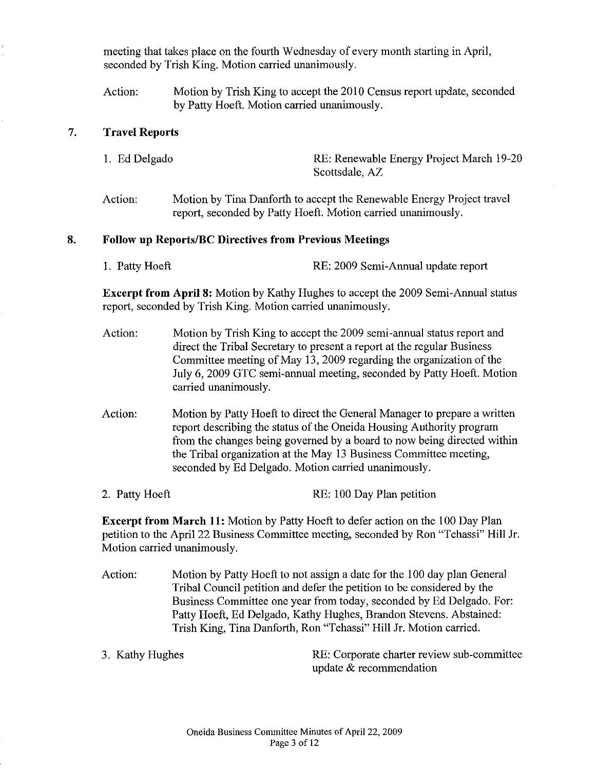meeting that takes place on the fourth Wednesday of every month starting in April, seconded by Trish King. Motion carried unanimously.

Action: Motion by Trish King to accept the 20I0 Census report update, seconded by Patty Hoeft. Motion carried unanimously.

#### 7. Travel Reports

- 1. Ed Delgado RE: Renewable Energy Project March 19-20 Scottsdale, AZ
- Action: Motion by Tina Danforth to accept the Renewable Energy Project travel report, seconded by Patty Hoeft. Motion carried unanimously.

#### 8. Follow up Reports/BC Directives from Previous Meetings

1. Patty Hoeft RE: 2009 Semi-Annual update report

Excerpt from April 8: Motion by Kathy Hughes to accept the 2009 Semi-Annual status report, seconded by Trish King. Motion carried unanimously.

- Action: Motion by Trish King to accept the 2009 semi-annual status report and direct the Tribal Secretary to present a report at the regular Business Committee meeting of May 13, 2009 regarding the organization of the July 6, 2009 GTC semi-annual meeting, seconded by Patty Hoeft. Motion carried unanimously.
- Action: Motion by Patty Hoeft to direct the General Manager to prepare a written report describing the status of the Oneida Housing Authority program from the changes being governed by a board to now being directed within the Tribal organization at the May 13 Business Committee meeting, seconded by Ed Delgado. Motion carried unanimously.
- 2. Patty Hoeft RE: 100 Day Plan petition

Excerpt from March 11: Motion by Patty Hoeft to defer action on the 100 Day Plan petition to the April 22 Business Committee meeting, seconded by Ron "Tehassi" Hill Jr. Motion carried unanimously.

- Action: Motion by Patty Hoeft to not assign a date for the 100 day plan General Tribal Council petition and defer the petition to be considered by the Business Committee one year from today, seconded by Ed Delgado. For: Patty Hoeft, Ed Delgado, Kathy Hughes, Brandon Stevens. Abstained: Trish King, Tina Danforth, Ron "Tehassi" Hill Jr. Motion carried.
- 

3. Kathy Hughes RE: Corporate charter review sub-committee update & recommendation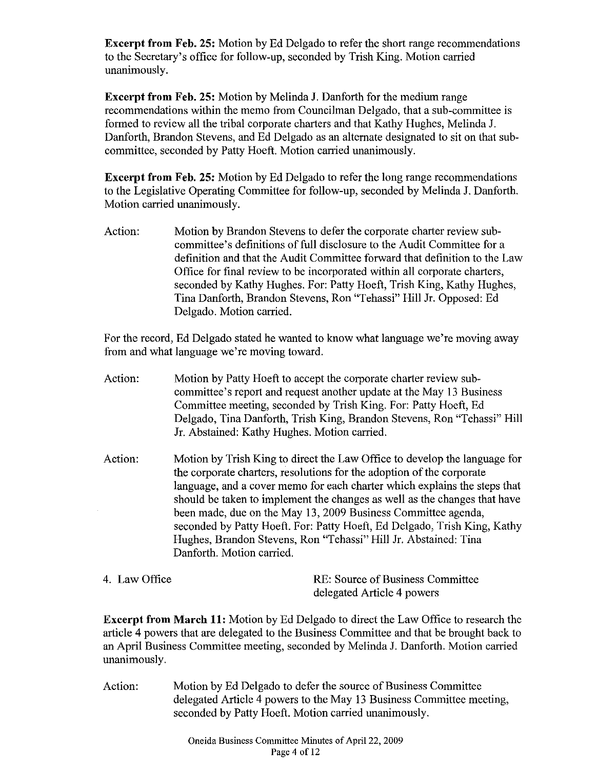Excerpt **from** Feb. 25: Motion by Ed Delgado to refer the short range recommendations to the Secretary's office for follow-up, seconded by Trish King. Motion carried unanimously.

Excerpt **from** Feb. 25: Motion by Melinda J. Danforth for the medium range recommendations within the memo from Councilman Delgado, that a sub-committee is formed to review all the tribal corporate charters and that Kathy Hughes, Melinda J. Danforth, Brandon Stevens, and Ed Delgado as an alternate designated to sit on that subcommittee, seconded by Patty Hoeft. Motion carried unanimously.

Excerpt **from** Feb. 25: Motion by Ed Delgado to refer the long range recommendations to the Legislative Operating Committee for follow-up, seconded by Melinda J. Danforth. Motion carried unanimously.

Action: Motion by Brandon Stevens to defer the corporate charter review subcommittee's definitions offull disclosure to the Audit Committee for a definition and that the Audit Committee forward that definition to the Law Office for final review to be incorporated within all corporate charters, seconded by Kathy Hughes. For: Patty Hoeft, Trish King, Kathy Hughes, Tina Danforth, Brandon Stevens, Ron "Tehassi" Hill Jr. Opposed: Ed Delgado. Motion carried.

For the record, Ed Delgado stated he wanted to know what language we're moving away from and what language we're moving toward.

- Action: Motion by Patty Hoeft to accept the corporate charter review subcommittee's report and request another update at the May 13 Business Committee meeting, seconded by Trish King. For: Patty Hoeft, Ed Delgado, Tina Danforth, Trish King, Brandon Stevens, Ron "Tehassi" Hill Jr. Abstained: Kathy Hughes. Motion carried.
- Action: Motion by Trish King to direct the Law Office to develop the language for the corporate charters, resolutions for the adoption of the corporate language, and a cover memo for each charter which explains the steps that should be taken to implement the changes as well as the changes that have been made, due on the May 13,2009 Business Committee agenda, seconded by Patty Hoeft. For: Patty Hoeft, Ed Delgado, Trish King, Kathy Hughes, Brandon Stevens, Ron "Tehassi" Hill Jr. Abstained: Tina Danforth. Motion carried.
- 4. Law Office RE: Source of Business Committee delegated Article 4 powers

Excerpt **from** March 11: Motion by Ed Delgado to direct the Law Office to research the article 4 powers that are delegated to the Business Committee and that be brought back to an April Business Committee meeting, seconded by Melinda J. Danforth. Motion carried unanimously.

Action: Motion by Ed Delgado to defer the source of Business Committee delegated Article 4 powers to the May 13 Business Committee meeting, seconded by Patty Hoeft. Motion carried unanimously.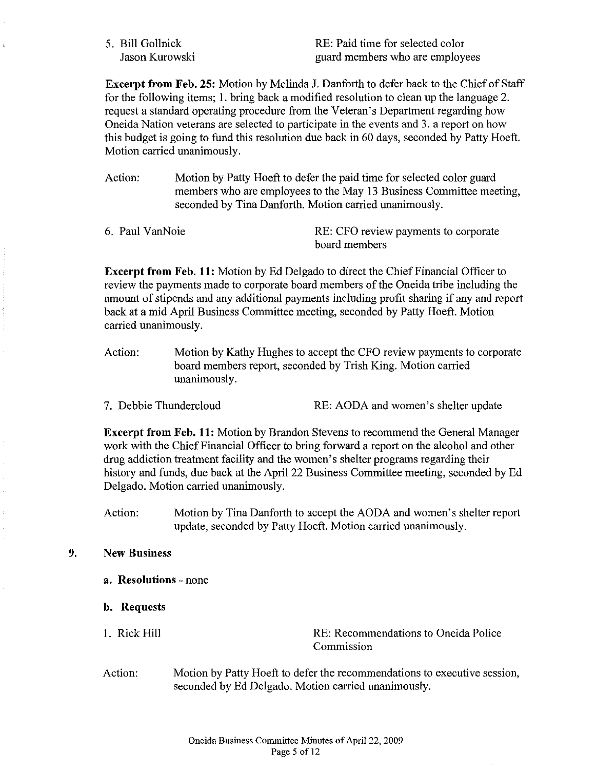5. Bill Gollnick Jason Kurowski RE: Paid time for selected color guard members who are employees

Excerpt from Feb. 25: Motion by Melinda J. Danforth to defer back to the Chief of Staff for the following items; I. bring back a modified resolution to clean up the language 2. request a standard operating procedure from the Veteran's Department regarding how Oneida Nation veterans are selected to participate in the events and 3. a report on how this budget is going to fund this resolution due back in 60 days, seconded by Patty Hoeft. Motion carried unanimously.

Action: Motion by Patty Hoeft to defer the paid time for selected color guard members who are employees to the May 13 Business Committee meeting, seconded by Tina Danforth. Motion carried unanimously.

| 6. Paul VanNoie | RE: CFO review payments to corporate |
|-----------------|--------------------------------------|
|                 | board members                        |

Excerpt from Feb. 11: Motion by Ed Delgado to direct the Chief Financial Officer to review the payments made to corporate board members of the Oneida tribe including the amount of stipends and any additional payments including profit sharing if any and report back at a mid April Business Committee meeting, seconded by Patty Hoeft. Motion carried unanimously.

- Action: Motion by Kathy Hughes to accept the CFO review payments to corporate board members report, seconded by Trish King. Motion carried unanimously.
- 7. Debbie Thundercloud RE: AODA and women's shelter update

Excerpt from Feb. 11: Motion by Brandon Stevens to recommend the General Manager work with the Chief Financial Officer to bring forward a report on the alcohol and other drug addiction treatment facility and the women's shelter programs regarding their history and funds, due back at the April 22 Business Committee meeting, seconded by Ed Delgado. Motion carried unanimously.

Action: Motion by Tina Danforth to accept the AODA and women's shelter report update, seconded by Patty Hoeft. Motion carried unanimously.

## 9. New Business

- a. Resolutions none
- b. Requests
- 1. Rick Hill **RE: Recommendations to Oneida Police** Commission
- Action: Motion by Patty Hoeft to defer the recommendations to executive session, seconded by Ed Delgado. Motion carried unanimously.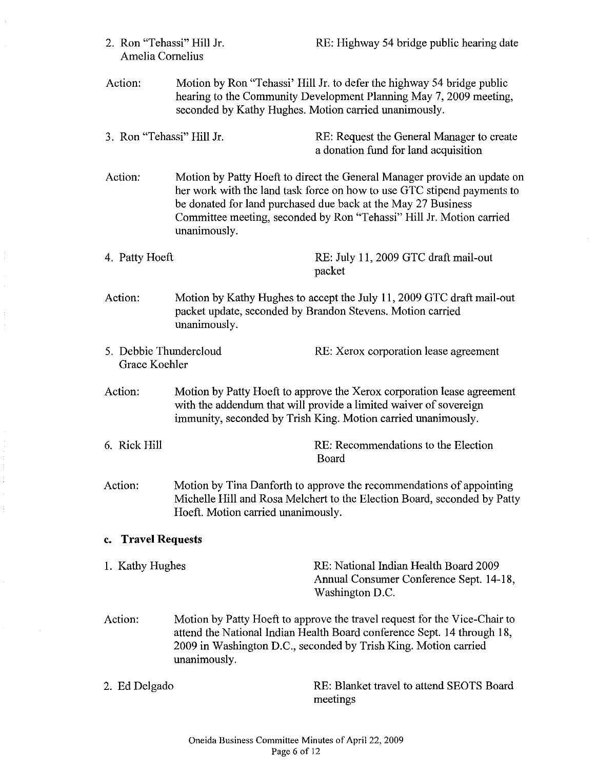$\sim 10^6$ 

| Amelia Cornelius                                                                                                                                               |                                                                                                                                                                                                                                                                                                              |                                                                                                                                                  |  |
|----------------------------------------------------------------------------------------------------------------------------------------------------------------|--------------------------------------------------------------------------------------------------------------------------------------------------------------------------------------------------------------------------------------------------------------------------------------------------------------|--------------------------------------------------------------------------------------------------------------------------------------------------|--|
| Action:<br>seconded by Kathy Hughes. Motion carried unanimously.                                                                                               |                                                                                                                                                                                                                                                                                                              | Motion by Ron "Tehassi" Hill Jr. to defer the highway 54 bridge public<br>hearing to the Community Development Planning May 7, 2009 meeting,     |  |
| 3. Ron "Tehassi" Hill Jr.                                                                                                                                      |                                                                                                                                                                                                                                                                                                              | RE: Request the General Manager to create<br>a donation fund for land acquisition                                                                |  |
| Action:                                                                                                                                                        | Motion by Patty Hoeft to direct the General Manager provide an update on<br>her work with the land task force on how to use GTC stipend payments to<br>be donated for land purchased due back at the May 27 Business<br>Committee meeting, seconded by Ron "Tehassi" Hill Jr. Motion carried<br>unanimously. |                                                                                                                                                  |  |
| 4. Patty Hoeft                                                                                                                                                 |                                                                                                                                                                                                                                                                                                              | RE: July 11, 2009 GTC draft mail-out<br>packet                                                                                                   |  |
| Action:<br>Motion by Kathy Hughes to accept the July 11, 2009 GTC draft mail-out<br>packet update, seconded by Brandon Stevens. Motion carried<br>unanimously. |                                                                                                                                                                                                                                                                                                              |                                                                                                                                                  |  |
| 5. Debbie Thundercloud<br>Grace Koehler                                                                                                                        |                                                                                                                                                                                                                                                                                                              | RE: Xerox corporation lease agreement                                                                                                            |  |
| Action:                                                                                                                                                        | Motion by Patty Hoeft to approve the Xerox corporation lease agreement<br>with the addendum that will provide a limited waiver of sovereign<br>immunity, seconded by Trish King. Motion carried unanimously.                                                                                                 |                                                                                                                                                  |  |
| 6. Rick Hill                                                                                                                                                   |                                                                                                                                                                                                                                                                                                              | RE: Recommendations to the Election<br>Board                                                                                                     |  |
| Action:<br>Hoeft. Motion carried unanimously.                                                                                                                  |                                                                                                                                                                                                                                                                                                              | Motion by Tina Danforth to approve the recommendations of appointing<br>Michelle Hill and Rosa Melchert to the Election Board, seconded by Patty |  |
| c. Travel Requests                                                                                                                                             |                                                                                                                                                                                                                                                                                                              |                                                                                                                                                  |  |
| 1. Kathy Hughes                                                                                                                                                |                                                                                                                                                                                                                                                                                                              | RE: National Indian Health Board 2009<br>Annual Consumer Conference Sept. 14-18,<br>Washington D.C.                                              |  |
| Action:                                                                                                                                                        | Motion by Patty Hoeft to approve the travel request for the Vice-Chair to<br>attend the National Indian Health Board conference Sept. 14 through 18,<br>2009 in Washington D.C., seconded by Trish King. Motion carried<br>unanimously.                                                                      |                                                                                                                                                  |  |
| 2. Ed Delgado                                                                                                                                                  |                                                                                                                                                                                                                                                                                                              | RE: Blanket travel to attend SEOTS Board<br>meetings                                                                                             |  |

2. Ron "Tehassi" Hill Jr.

 $\hat{\tau}$ 

 $\frac{1}{2}$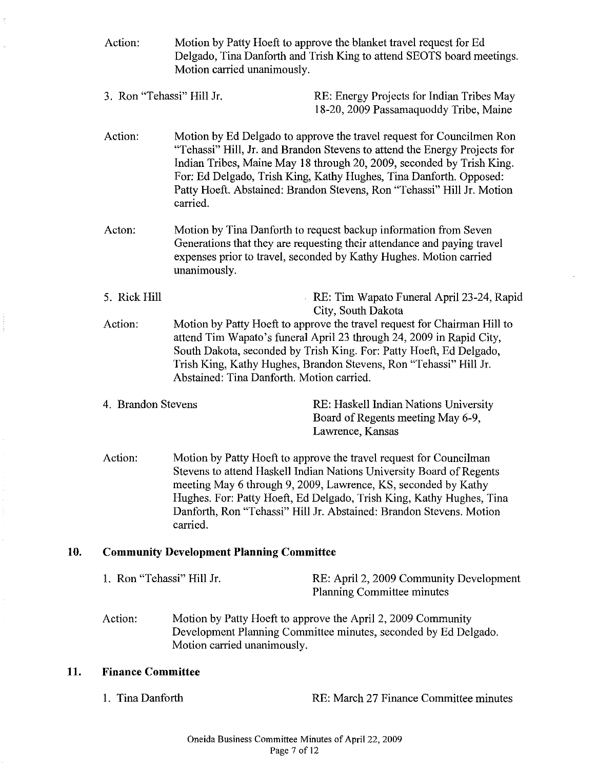|                                                                                                                                                                                                                                                                                                                                                                                    | Action:                                         | Motion by Patty Hoeft to approve the blanket travel request for Ed<br>Delgado, Tina Danforth and Trish King to attend SEOTS board meetings.<br>Motion carried unanimously.                                                                                                                                                                                                              |                                                                                                |  |
|------------------------------------------------------------------------------------------------------------------------------------------------------------------------------------------------------------------------------------------------------------------------------------------------------------------------------------------------------------------------------------|-------------------------------------------------|-----------------------------------------------------------------------------------------------------------------------------------------------------------------------------------------------------------------------------------------------------------------------------------------------------------------------------------------------------------------------------------------|------------------------------------------------------------------------------------------------|--|
|                                                                                                                                                                                                                                                                                                                                                                                    | 3. Ron "Tehassi" Hill Jr.                       |                                                                                                                                                                                                                                                                                                                                                                                         | RE: Energy Projects for Indian Tribes May<br>18-20, 2009 Passamaquoddy Tribe, Maine            |  |
|                                                                                                                                                                                                                                                                                                                                                                                    | Action:                                         | Motion by Ed Delgado to approve the travel request for Councilmen Ron<br>"Tehassi" Hill, Jr. and Brandon Stevens to attend the Energy Projects for<br>Indian Tribes, Maine May 18 through 20, 2009, seconded by Trish King.<br>For: Ed Delgado, Trish King, Kathy Hughes, Tina Danforth. Opposed:<br>Patty Hoeft. Abstained: Brandon Stevens, Ron "Tehassi" Hill Jr. Motion<br>carried. |                                                                                                |  |
|                                                                                                                                                                                                                                                                                                                                                                                    | Acton:                                          | Motion by Tina Danforth to request backup information from Seven<br>Generations that they are requesting their attendance and paying travel<br>expenses prior to travel, seconded by Kathy Hughes. Motion carried<br>unanimously.                                                                                                                                                       |                                                                                                |  |
|                                                                                                                                                                                                                                                                                                                                                                                    | 5. Rick Hill                                    | RE: Tim Wapato Funeral April 23-24, Rapid<br>City, South Dakota                                                                                                                                                                                                                                                                                                                         |                                                                                                |  |
|                                                                                                                                                                                                                                                                                                                                                                                    | Action:                                         | Motion by Patty Hoeft to approve the travel request for Chairman Hill to<br>attend Tim Wapato's funeral April 23 through 24, 2009 in Rapid City,<br>South Dakota, seconded by Trish King. For: Patty Hoeft, Ed Delgado,<br>Trish King, Kathy Hughes, Brandon Stevens, Ron "Tehassi" Hill Jr.<br>Abstained: Tina Danforth. Motion carried.                                               |                                                                                                |  |
|                                                                                                                                                                                                                                                                                                                                                                                    | 4. Brandon Stevens                              |                                                                                                                                                                                                                                                                                                                                                                                         | RE: Haskell Indian Nations University<br>Board of Regents meeting May 6-9,<br>Lawrence, Kansas |  |
| Action:<br>Motion by Patty Hoeft to approve the travel request for Councilman<br>Stevens to attend Haskell Indian Nations University Board of Regents<br>meeting May 6 through 9, 2009, Lawrence, KS, seconded by Kathy<br>Hughes. For: Patty Hoeft, Ed Delgado, Trish King, Kathy Hughes, Tina<br>Danforth, Ron "Tehassi" Hill Jr. Abstained: Brandon Stevens. Motion<br>carried. |                                                 |                                                                                                                                                                                                                                                                                                                                                                                         |                                                                                                |  |
| 10.                                                                                                                                                                                                                                                                                                                                                                                | <b>Community Development Planning Committee</b> |                                                                                                                                                                                                                                                                                                                                                                                         |                                                                                                |  |
|                                                                                                                                                                                                                                                                                                                                                                                    | 1. Ron "Tehassi" Hill Jr.                       |                                                                                                                                                                                                                                                                                                                                                                                         | RE: April 2, 2009 Community Development<br>Planning Committee minutes                          |  |
|                                                                                                                                                                                                                                                                                                                                                                                    | Action:                                         | Motion by Patty Hoeft to approve the April 2, 2009 Community<br>Development Planning Committee minutes, seconded by Ed Delgado.<br>Motion carried unanimously.                                                                                                                                                                                                                          |                                                                                                |  |
| 11.                                                                                                                                                                                                                                                                                                                                                                                | <b>Finance Committee</b>                        |                                                                                                                                                                                                                                                                                                                                                                                         |                                                                                                |  |
|                                                                                                                                                                                                                                                                                                                                                                                    | 1. Tina Danforth                                |                                                                                                                                                                                                                                                                                                                                                                                         | RE: March 27 Finance Committee minutes                                                         |  |

**11.** 

 $\widetilde{\mathbb{C}}$ 

k,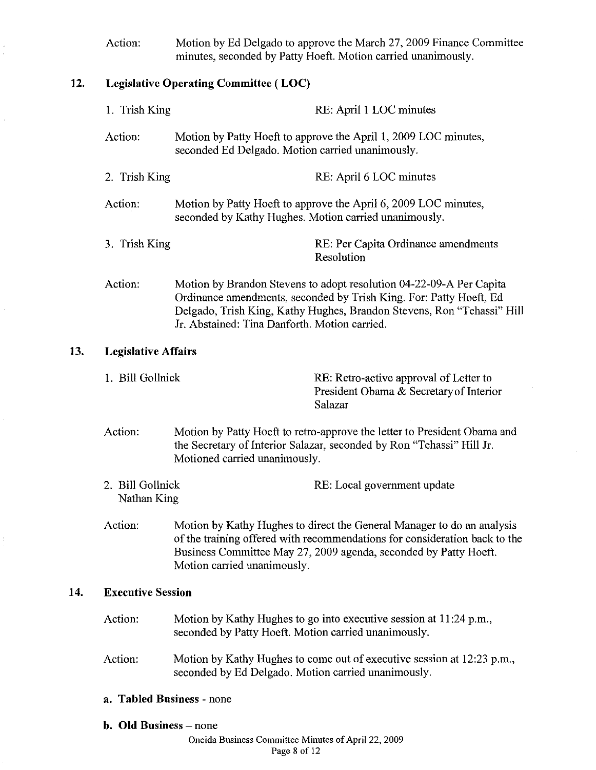Action: Motion by Ed Delgado to approve the March 27, 2009 Finance Committee minutes, seconded by Patty Hoeft. Motion carried unanimously.

# 12. Legislative Operating Committee ( LOC)

 $13.$ 

 $\frac{1}{\sqrt{2}}$ 

 $\hat{\mathcal{L}}$ 

 $14.$ 

| 1. Trish King                                                                                                                                                                                                                                                      |                                                                                                                            | RE: April 1 LOC minutes                                                                                                                                                                                             |  |
|--------------------------------------------------------------------------------------------------------------------------------------------------------------------------------------------------------------------------------------------------------------------|----------------------------------------------------------------------------------------------------------------------------|---------------------------------------------------------------------------------------------------------------------------------------------------------------------------------------------------------------------|--|
| Action:                                                                                                                                                                                                                                                            |                                                                                                                            | Motion by Patty Hoeft to approve the April 1, 2009 LOC minutes,<br>seconded Ed Delgado. Motion carried unanimously.                                                                                                 |  |
| 2. Trish King                                                                                                                                                                                                                                                      |                                                                                                                            | RE: April 6 LOC minutes                                                                                                                                                                                             |  |
| Action:<br>seconded by Kathy Hughes. Motion carried unanimously.                                                                                                                                                                                                   |                                                                                                                            | Motion by Patty Hoeft to approve the April 6, 2009 LOC minutes,                                                                                                                                                     |  |
| 3. Trish King                                                                                                                                                                                                                                                      |                                                                                                                            | RE: Per Capita Ordinance amendments<br>Resolution                                                                                                                                                                   |  |
| Action:<br>Jr. Abstained: Tina Danforth. Motion carried.                                                                                                                                                                                                           |                                                                                                                            | Motion by Brandon Stevens to adopt resolution 04-22-09-A Per Capita<br>Ordinance amendments, seconded by Trish King. For: Patty Hoeft, Ed<br>Delgado, Trish King, Kathy Hughes, Brandon Stevens, Ron "Tehassi" Hill |  |
| <b>Legislative Affairs</b>                                                                                                                                                                                                                                         |                                                                                                                            |                                                                                                                                                                                                                     |  |
| 1. Bill Gollnick                                                                                                                                                                                                                                                   |                                                                                                                            | RE: Retro-active approval of Letter to<br>President Obama & Secretary of Interior<br>Salazar                                                                                                                        |  |
| Action:<br>Motion by Patty Hoeft to retro-approve the letter to President Obama and<br>the Secretary of Interior Salazar, seconded by Ron "Tehassi" Hill Jr.<br>Motioned carried unanimously.                                                                      |                                                                                                                            |                                                                                                                                                                                                                     |  |
| 2. Bill Gollnick<br>Nathan King                                                                                                                                                                                                                                    |                                                                                                                            | RE: Local government update                                                                                                                                                                                         |  |
| Action:<br>Motion by Kathy Hughes to direct the General Manager to do an analysis<br>of the training offered with recommendations for consideration back to the<br>Business Committee May 27, 2009 agenda, seconded by Patty Hoeft.<br>Motion carried unanimously. |                                                                                                                            |                                                                                                                                                                                                                     |  |
| <b>Executive Session</b>                                                                                                                                                                                                                                           |                                                                                                                            |                                                                                                                                                                                                                     |  |
| Action:                                                                                                                                                                                                                                                            | Motion by Kathy Hughes to go into executive session at 11:24 p.m.,<br>seconded by Patty Hoeft. Motion carried unanimously. |                                                                                                                                                                                                                     |  |
| Action:<br>Motion by Kathy Hughes to come out of executive session at 12:23 p.m.,<br>seconded by Ed Delgado. Motion carried unanimously.                                                                                                                           |                                                                                                                            |                                                                                                                                                                                                                     |  |
| a. Tabled Business - none                                                                                                                                                                                                                                          |                                                                                                                            |                                                                                                                                                                                                                     |  |
| b. Old Business – none                                                                                                                                                                                                                                             |                                                                                                                            |                                                                                                                                                                                                                     |  |

Oneida Business Committee Minutes of April 22, 2009 Page 8 of 12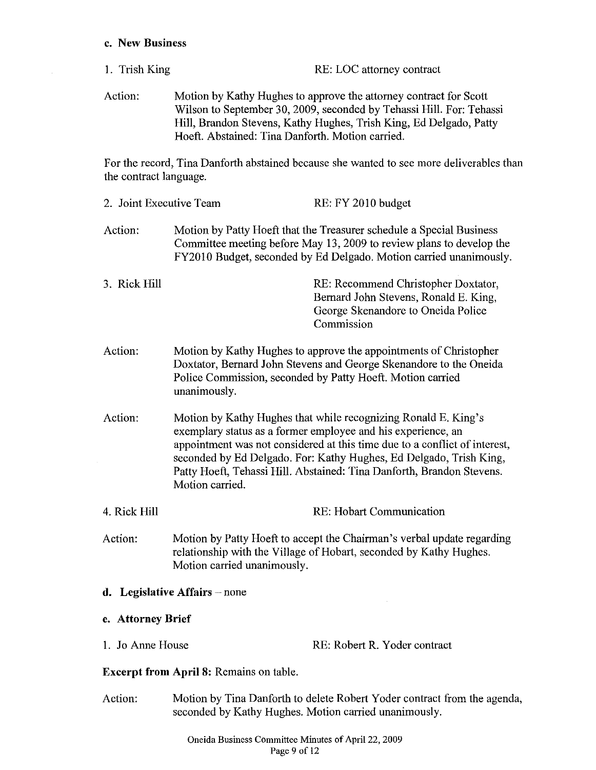#### c. New Business

 $\sim$ 

- 1. Trish King RE: LOC attorney contract
- Action: Motion by Kathy Hughes to approve the attorney contract for Scott Wilson to September 30, 2009, seconded by Tehassi Hill. For: Tehassi Hill, Brandon Stevens, Kathy Hughes, Trish King, Ed Delgado, Patty Hoeft. Abstained: Tina Danforth. Motion carried.

For the record, Tina Danforth abstained because she wanted to see more deliverables than the contract language.

| 2. Joint Executive Team |                                                                                                                                                                                                                                                                                                                                                                                | RE: FY 2010 budget                                                                                                                           |  |
|-------------------------|--------------------------------------------------------------------------------------------------------------------------------------------------------------------------------------------------------------------------------------------------------------------------------------------------------------------------------------------------------------------------------|----------------------------------------------------------------------------------------------------------------------------------------------|--|
| Action:                 | Motion by Patty Hoeft that the Treasurer schedule a Special Business<br>Committee meeting before May 13, 2009 to review plans to develop the<br>FY2010 Budget, seconded by Ed Delgado. Motion carried unanimously.                                                                                                                                                             |                                                                                                                                              |  |
| 3. Rick Hill            |                                                                                                                                                                                                                                                                                                                                                                                | RE: Recommend Christopher Doxtator,<br>Bernard John Stevens, Ronald E. King,<br>George Skenandore to Oneida Police<br>Commission             |  |
| Action:                 | Motion by Kathy Hughes to approve the appointments of Christopher<br>Doxtator, Bernard John Stevens and George Skenandore to the Oneida<br>Police Commission, seconded by Patty Hoeft. Motion carried<br>unanimously.                                                                                                                                                          |                                                                                                                                              |  |
| Action:                 | Motion by Kathy Hughes that while recognizing Ronald E. King's<br>exemplary status as a former employee and his experience, an<br>appointment was not considered at this time due to a conflict of interest,<br>seconded by Ed Delgado. For: Kathy Hughes, Ed Delgado, Trish King,<br>Patty Hoeft, Tehassi Hill. Abstained: Tina Danforth, Brandon Stevens.<br>Motion carried. |                                                                                                                                              |  |
| 4. Rick Hill            |                                                                                                                                                                                                                                                                                                                                                                                | RE: Hobart Communication                                                                                                                     |  |
| Action:                 | Motion carried unanimously.                                                                                                                                                                                                                                                                                                                                                    | Motion by Patty Hoeft to accept the Chairman's verbal update regarding<br>relationship with the Village of Hobart, seconded by Kathy Hughes. |  |
|                         | d. Legislative Affairs - none                                                                                                                                                                                                                                                                                                                                                  |                                                                                                                                              |  |
| e. Attorney Brief       |                                                                                                                                                                                                                                                                                                                                                                                |                                                                                                                                              |  |
| 1. Jo Anne House        |                                                                                                                                                                                                                                                                                                                                                                                | RE: Robert R. Yoder contract                                                                                                                 |  |
|                         | <b>Excerpt from April 8: Remains on table.</b>                                                                                                                                                                                                                                                                                                                                 |                                                                                                                                              |  |
| Action:                 | Motion by Tina Danforth to delete Robert Yoder contract from the agenda,<br>seconded by Kathy Hughes. Motion carried unanimously.                                                                                                                                                                                                                                              |                                                                                                                                              |  |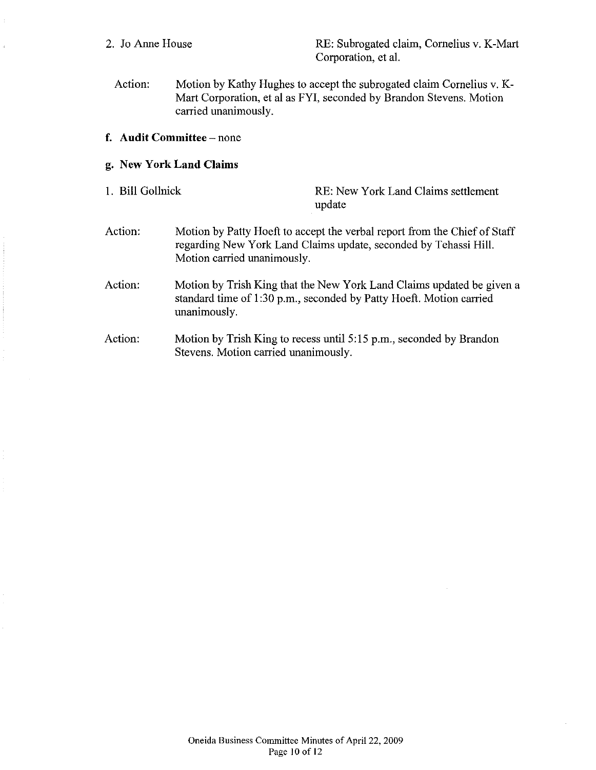$\hat{\tau}$ 

 $\frac{1}{2}$ 

2. Jo Anne House RE: Subrogated claim, Cornelius v. K-Mart Corporation, et al.

Action: Motion by Kathy Hughes to accept the subrogated claim Cornelius v. K-Mart Corporation, et al as FYI, seconded by Brandon Stevens. Motion carried unanimously.

## f. **Audit Committee** - none

# g. **New York Land Claims**

| 1. Bill Gollnick |                                      | RE: New York Land Claims settlement<br>update                                                                                                 |
|------------------|--------------------------------------|-----------------------------------------------------------------------------------------------------------------------------------------------|
| Action:          | Motion carried unanimously.          | Motion by Patty Hoeft to accept the verbal report from the Chief of Staff<br>regarding New York Land Claims update, seconded by Tehassi Hill. |
| Action:          | unanimously.                         | Motion by Trish King that the New York Land Claims updated be given a<br>standard time of 1:30 p.m., seconded by Patty Hoeft. Motion carried  |
| Action:          | Stevens. Motion carried unanimously. | Motion by Trish King to recess until 5:15 p.m., seconded by Brandon                                                                           |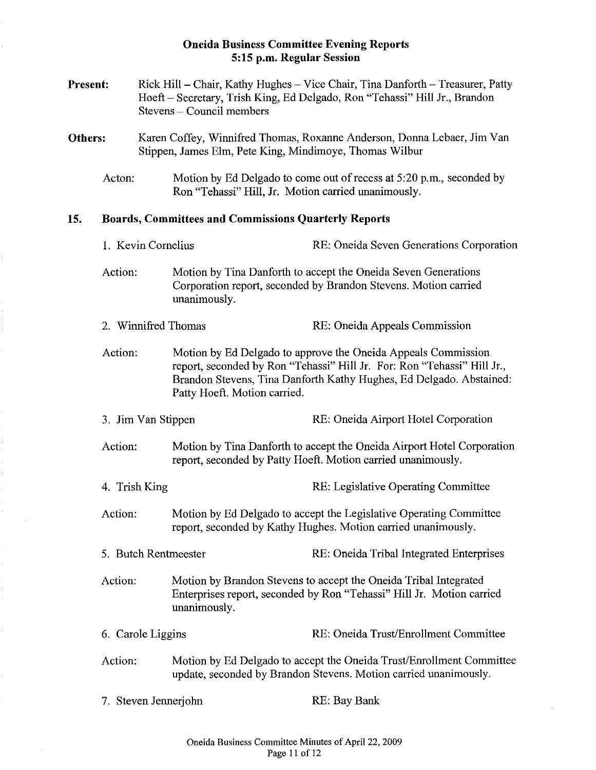## **Oneida Business Committee Evening Reports 5:15** p.m. **Regular Session**

ł.

 $\hat{\mathbf{r}}$ 

| <b>Present:</b>                                           |                      | Rick Hill – Chair, Kathy Hughes – Vice Chair, Tina Danforth – Treasurer, Patty<br>Hoeft – Secretary, Trish King, Ed Delgado, Ron "Tehassi" Hill Jr., Brandon<br>Stevens - Council members |                                                                                                                                                                                                                                                 |                                                                                                                                        |  |
|-----------------------------------------------------------|----------------------|-------------------------------------------------------------------------------------------------------------------------------------------------------------------------------------------|-------------------------------------------------------------------------------------------------------------------------------------------------------------------------------------------------------------------------------------------------|----------------------------------------------------------------------------------------------------------------------------------------|--|
| Others:                                                   |                      |                                                                                                                                                                                           | Karen Coffey, Winnifred Thomas, Roxanne Anderson, Donna Lebaer, Jim Van<br>Stippen, James Elm, Pete King, Mindimoye, Thomas Wilbur                                                                                                              |                                                                                                                                        |  |
|                                                           | Acton:               |                                                                                                                                                                                           |                                                                                                                                                                                                                                                 | Motion by Ed Delgado to come out of recess at 5:20 p.m., seconded by<br>Ron "Tehassi" Hill, Jr. Motion carried unanimously.            |  |
| 15.                                                       |                      | <b>Boards, Committees and Commissions Quarterly Reports</b>                                                                                                                               |                                                                                                                                                                                                                                                 |                                                                                                                                        |  |
|                                                           |                      | 1. Kevin Cornelius                                                                                                                                                                        |                                                                                                                                                                                                                                                 | RE: Oneida Seven Generations Corporation                                                                                               |  |
| Action:                                                   |                      |                                                                                                                                                                                           | Motion by Tina Danforth to accept the Oneida Seven Generations<br>Corporation report, seconded by Brandon Stevens. Motion carried<br>unanimously.                                                                                               |                                                                                                                                        |  |
|                                                           |                      |                                                                                                                                                                                           | 2. Winnifred Thomas                                                                                                                                                                                                                             | RE: Oneida Appeals Commission                                                                                                          |  |
| Action:<br>3. Jim Van Stippen<br>Action:<br>4. Trish King |                      |                                                                                                                                                                                           | Motion by Ed Delgado to approve the Oneida Appeals Commission<br>report, seconded by Ron "Tehassi" Hill Jr. For: Ron "Tehassi" Hill Jr.,<br>Brandon Stevens, Tina Danforth Kathy Hughes, Ed Delgado. Abstained:<br>Patty Hoeft. Motion carried. |                                                                                                                                        |  |
|                                                           |                      |                                                                                                                                                                                           |                                                                                                                                                                                                                                                 | RE: Oneida Airport Hotel Corporation                                                                                                   |  |
|                                                           |                      |                                                                                                                                                                                           |                                                                                                                                                                                                                                                 | Motion by Tina Danforth to accept the Oneida Airport Hotel Corporation<br>report, seconded by Patty Hoeft. Motion carried unanimously. |  |
|                                                           |                      |                                                                                                                                                                                           |                                                                                                                                                                                                                                                 | RE: Legislative Operating Committee                                                                                                    |  |
|                                                           | Action:              |                                                                                                                                                                                           |                                                                                                                                                                                                                                                 | Motion by Ed Delgado to accept the Legislative Operating Committee<br>report, seconded by Kathy Hughes. Motion carried unanimously.    |  |
|                                                           | 5. Butch Rentmeester |                                                                                                                                                                                           |                                                                                                                                                                                                                                                 | RE: Oneida Tribal Integrated Enterprises                                                                                               |  |
|                                                           | Action:              |                                                                                                                                                                                           | Motion by Brandon Stevens to accept the Oneida Tribal Integrated<br>Enterprises report, seconded by Ron "Tehassi" Hill Jr. Motion carried<br>unanimously.                                                                                       |                                                                                                                                        |  |
|                                                           | 6. Carole Liggins    |                                                                                                                                                                                           |                                                                                                                                                                                                                                                 | RE: Oneida Trust/Enrollment Committee                                                                                                  |  |
| Action:                                                   |                      |                                                                                                                                                                                           | Motion by Ed Delgado to accept the Oneida Trust/Enrollment Committee<br>update, seconded by Brandon Stevens. Motion carried unanimously.                                                                                                        |                                                                                                                                        |  |
|                                                           |                      |                                                                                                                                                                                           | 7. Steven Jennerjohn                                                                                                                                                                                                                            | RE: Bay Bank                                                                                                                           |  |

 $\sim$